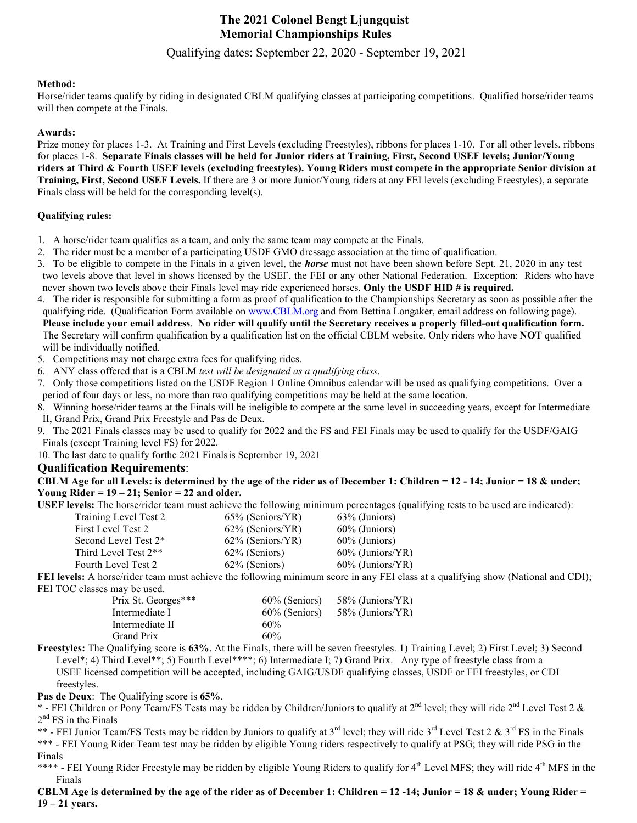# **The 2022 Colonel Bengt Ljungquist Memorial Championships Rules**

Qualifying dates: September 20, 2021 - September 11, 2022

#### **Method:**

Horse/rider teams qualify by riding in designated CBLM qualifying classes at participating competitions. Qualified horse/rider teams will then compete at the Finals.

#### **Awards:**

Prize money for places 1-3. At Training and First Levels (excluding Freestyles), ribbons for places 1-10. For all other levels, ribbons for places 1-8. Separate Finals classes will be held for Junior riders at Training, First, Second USEF levels; Junior/Young riders at Third & Fourth USEF levels (excluding freestyles). Young Riders must compete in the appropriate Senior division at **Training, First, Second USEF Levels.** If there are 3 or more Junior/Young riders at any FEI levels (excluding Freestyles), a separate Finals class will be held for the corresponding level(s).

#### **Qualifying rules:**

- 1. A horse/rider team qualifies as a team, and only the same team may compete at the Finals.
- 2. The rider must be a member of a participating USDF GMO dressage association at the time of qualification.
- 3. To be eligible to compete in the Finals in a given level, the *horse* must not have been shown before Sept. 21, 2020 in any test two levels above that level in shows licensed by the USEF, the FEI or any other National Federation. Exception: Riders who have never shown two levels above their Finals level may ride experienced horses. **Only the USDF HID # is required.**
- 4. The rider is responsible for submitting a form as proof of qualification to the Championships Secretary as soon as possible after the qualifying ride. (Qualification Form available on www.CBLM.org and from Bettina Longaker, email address on following page).
- Please include your email address. No rider will qualify until the Secretary receives a properly filled-out qualification form. The Secretary will confirm qualification by a qualification list on the official CBLM website. Only riders who have **NOT** qualified will be individually notified.
- 5. Competitions may **not** charge extra fees for qualifying rides.
- 6. ANY class offered that is a CBLM *test will be designated as a qualifying class*.
- 7. Only those competitions listed on the USDF Region 1 Online Omnibus calendar will be used as qualifying competitions. Over a period of four days or less, no more than two qualifying competitions may be held at the same location.
- 8. Winning horse/rider teams at the Finals will be ineligible to compete at the same level in succeeding years, except for Intermediate II, Grand Prix, Grand Prix Freestyle and Pas de Deux.
- 9. The 2022 Finals classes may be used to qualify for 2023 and the FS and FEI Finals may be used to qualify for the USDF/GAIG Finals (except Training level FS) for 2023.
- 10. The last date to qualify forthe2022 Finals is September 11, 2022

## **Qualification Requirements**:

 **Young Rider = 19 – 21; Senior = 22 and older. CBLM Age for all Levels: is determined by the age of the rider as of December 1: Children = 12 - 14; Junior = 18 & under;**

**USEF levels:** The horse/rider team must achieve the following minimum percentages (qualifying tests to be used are indicated):

| $65\%$ (Seniors/YR) | 63\% (Juniors)      |
|---------------------|---------------------|
| 62% (Seniors/YR)    | 60% (Juniors)       |
| $62\%$ (Seniors/YR) | $60\%$ (Juniors)    |
| 62% (Seniors)       | $60\%$ (Juniors/YR) |
| 62% (Seniors)       | $60\%$ (Juniors/YR) |
|                     |                     |

**FEI levels:** A horse/rider team must achieve the following minimum score in any FEI class at a qualifying show (National and CDI); FEI TOC classes may be used.

| Prix St. Georges*** | 60% (Seniors) | 58% (Juniors/YR) |
|---------------------|---------------|------------------|
| Intermediate I      | 60% (Seniors) | 58% (Juniors/YR) |
| Intermediate II     | 60%           |                  |
| Grand Prix          | 60%           |                  |

**Freestyles:** The Qualifying score is **63%**. At the Finals, there will be seven freestyles. 1) Training Level; 2) First Level; 3) Second Level\*; 4) Third Level\*\*; 5) Fourth Level\*\*\*; 6) Intermediate I; 7) Grand Prix. Any type of freestyle class from a USEF licensed competition will be accepted, including GAIG/USDF qualifying classes, USDF or FEI freestyles, or CDI freestyles.

**Pas de Deux**: The Qualifying score is **65%**.

\* - FEI Children or Pony Team/FS Tests may be ridden by Children/Juniors to qualify at 2<sup>nd</sup> level; they will ride 2<sup>nd</sup> Level Test 2 & 2<sup>nd</sup> FS in the Finals

\*\* - FEI Junior Team/FS Tests may be ridden by Juniors to qualify at 3<sup>rd</sup> level; they will ride 3<sup>rd</sup> Level Test 2 & 3<sup>rd</sup> FS in the Finals \*\*\* - FEI Young Rider Team test may be ridden by eligible Young riders respectively to qualify at PSG; they will ride PSG in the Finals

\*\*\*\* - FEI Young Rider Freestyle may be ridden by eligible Young Riders to qualify for 4<sup>th</sup> Level MFS; they will ride 4<sup>th</sup> MFS in the Finals

CBLM Age is determined by the age of the rider as of December 1: Children = 12-14; Junior = 18 & under; Young Rider = **19 – 21 years.**